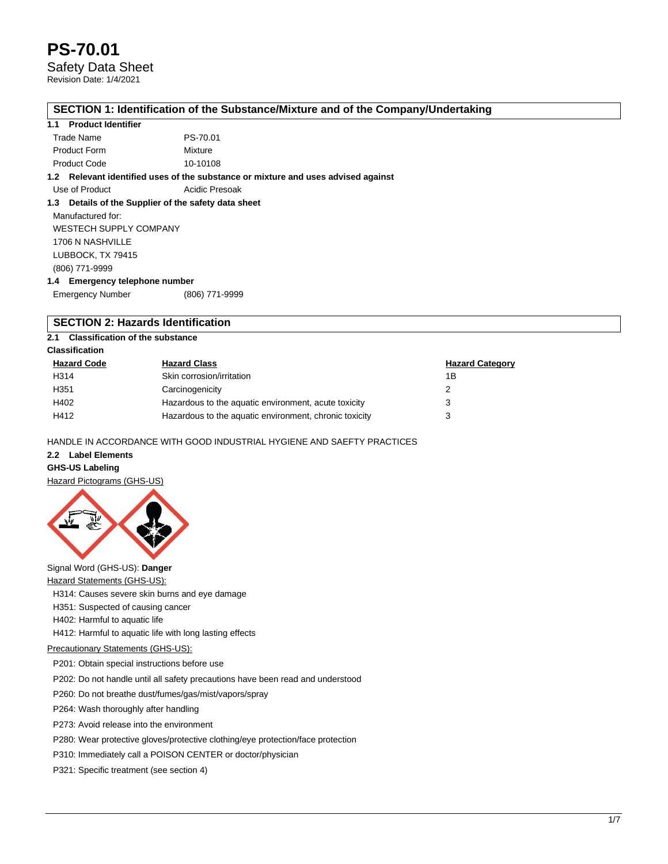Safety Data Sheet

Revision Date: 1/4/2021

### **SECTION 1: Identification of the Substance/Mixture and of the Company/Undertaking**

# **1.1 Product Identifier**

| Trade Name          | PS-70.01 |
|---------------------|----------|
| <b>Product Form</b> | Mixture  |
| <b>Product Code</b> | 10-10108 |

**1.2 Relevant identified uses of the substance or mixture and uses advised against**

Use of Product **Acidic Presoak** 

## **1.3 Details of the Supplier of the safety data sheet**

Manufactured for: WESTECH SUPPLY COMPANY 1706 N NASHVILLE LUBBOCK, TX 79415 (806) 771-9999 **1.4 Emergency telephone number**

Emergency Number (806) 771-9999

# **SECTION 2: Hazards Identification**

**2.1 Classification of the substance**

## **Classification**

| <b>Hazard Code</b> | <b>Hazard Class</b>                                    | <b>Hazard Category</b> |
|--------------------|--------------------------------------------------------|------------------------|
| H314               | Skin corrosion/irritation                              | 1Β                     |
| H351               | Carcinogenicity                                        |                        |
| H402               | Hazardous to the aquatic environment, acute toxicity   | 3                      |
| H412               | Hazardous to the aquatic environment, chronic toxicity |                        |

HANDLE IN ACCORDANCE WITH GOOD INDUSTRIAL HYGIENE AND SAEFTY PRACTICES

# **2.2 Label Elements**

### **GHS-US Labeling**

Hazard Pictograms (GHS-US)



# Signal Word (GHS-US): **Danger**

**Hazard Statements (GHS-US):** 

H314: Causes severe skin burns and eye damage

- H351: Suspected of causing cancer
- H402: Harmful to aquatic life

H412: Harmful to aquatic life with long lasting effects

## Precautionary Statements (GHS-US):

P201: Obtain special instructions before use

P202: Do not handle until all safety precautions have been read and understood

P260: Do not breathe dust/fumes/gas/mist/vapors/spray

P264: Wash thoroughly after handling

P273: Avoid release into the environment

P280: Wear protective gloves/protective clothing/eye protection/face protection

P310: Immediately call a POISON CENTER or doctor/physician

P321: Specific treatment (see section 4)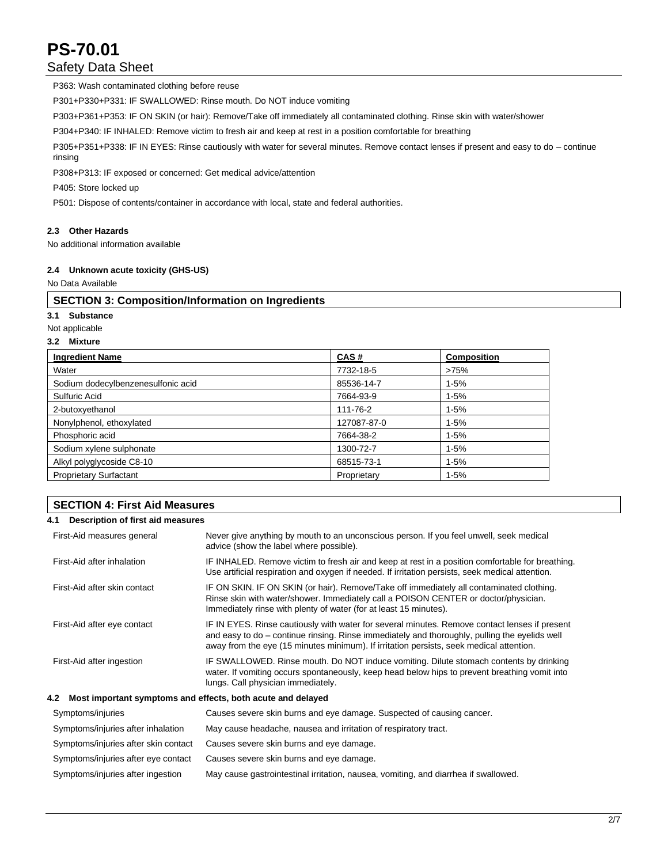# Safety Data Sheet

P363: Wash contaminated clothing before reuse

P301+P330+P331: IF SWALLOWED: Rinse mouth. Do NOT induce vomiting

P303+P361+P353: IF ON SKIN (or hair): Remove/Take off immediately all contaminated clothing. Rinse skin with water/shower

P304+P340: IF INHALED: Remove victim to fresh air and keep at rest in a position comfortable for breathing

P305+P351+P338: IF IN EYES: Rinse cautiously with water for several minutes. Remove contact lenses if present and easy to do – continue rinsing

P308+P313: IF exposed or concerned: Get medical advice/attention

P405: Store locked up

P501: Dispose of contents/container in accordance with local, state and federal authorities.

### **2.3 Other Hazards**

No additional information available

### **2.4 Unknown acute toxicity (GHS-US)**

### No Data Available

# **SECTION 3: Composition/Information on Ingredients**

# **3.1 Substance**

Not applicable

# **3.2 Mixture**

| <b>Ingredient Name</b>             | CAS#        | <b>Composition</b> |
|------------------------------------|-------------|--------------------|
| Water                              | 7732-18-5   | >75%               |
| Sodium dodecylbenzenesulfonic acid | 85536-14-7  | $1 - 5%$           |
| Sulfuric Acid                      | 7664-93-9   | $1 - 5%$           |
| 2-butoxyethanol                    | 111-76-2    | $1-5%$             |
| Nonylphenol, ethoxylated           | 127087-87-0 | $1 - 5%$           |
| Phosphoric acid                    | 7664-38-2   | $1 - 5%$           |
| Sodium xylene sulphonate           | 1300-72-7   | $1 - 5%$           |
| Alkyl polyglycoside C8-10          | 68515-73-1  | $1 - 5%$           |
| <b>Proprietary Surfactant</b>      | Proprietary | $1 - 5%$           |

# **SECTION 4: First Aid Measures**

### **4.1 Description of first aid measures**

| First-Aid measures general                                      | Never give anything by mouth to an unconscious person. If you feel unwell, seek medical<br>advice (show the label where possible).                                                                                                                                                        |  |  |  |  |
|-----------------------------------------------------------------|-------------------------------------------------------------------------------------------------------------------------------------------------------------------------------------------------------------------------------------------------------------------------------------------|--|--|--|--|
| First-Aid after inhalation                                      | IF INHALED. Remove victim to fresh air and keep at rest in a position comfortable for breathing.<br>Use artificial respiration and oxygen if needed. If irritation persists, seek medical attention.                                                                                      |  |  |  |  |
| First-Aid after skin contact                                    | IF ON SKIN. IF ON SKIN (or hair). Remove/Take off immediately all contaminated clothing.<br>Rinse skin with water/shower. Immediately call a POISON CENTER or doctor/physician.<br>Immediately rinse with plenty of water (for at least 15 minutes).                                      |  |  |  |  |
| First-Aid after eye contact                                     | IF IN EYES. Rinse cautiously with water for several minutes. Remove contact lenses if present<br>and easy to do – continue rinsing. Rinse immediately and thoroughly, pulling the eyelids well<br>away from the eye (15 minutes minimum). If irritation persists, seek medical attention. |  |  |  |  |
| First-Aid after ingestion                                       | IF SWALLOWED. Rinse mouth. Do NOT induce vomiting. Dilute stomach contents by drinking<br>water. If vomiting occurs spontaneously, keep head below hips to prevent breathing vomit into<br>lungs. Call physician immediately.                                                             |  |  |  |  |
| 4.2 Most important symptoms and effects, both acute and delayed |                                                                                                                                                                                                                                                                                           |  |  |  |  |
| Symptoms/injuries                                               | Causes severe skin burns and eye damage. Suspected of causing cancer.                                                                                                                                                                                                                     |  |  |  |  |
| Symptoms/injuries after inhalation                              | May cause headache, nausea and irritation of respiratory tract.                                                                                                                                                                                                                           |  |  |  |  |
| Symptoms/injuries after skin contact                            | Causes severe skin burns and eye damage.                                                                                                                                                                                                                                                  |  |  |  |  |
| Symptoms/injuries after eye contact                             | Causes severe skin burns and eye damage.                                                                                                                                                                                                                                                  |  |  |  |  |
| Symptoms/injuries after ingestion                               | May cause gastrointestinal irritation, nausea, vomiting, and diarrhea if swallowed.                                                                                                                                                                                                       |  |  |  |  |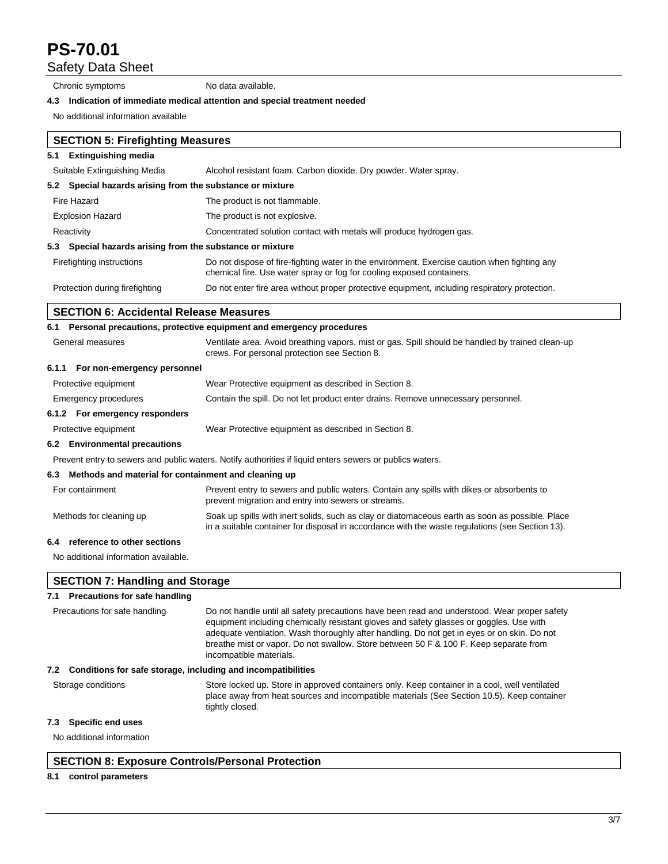Safety Data Sheet

Chronic symptoms No data available.

### **4.3 Indication of immediate medical attention and special treatment needed**

No additional information available

|                         | <b>SECTION 5: Firefighting Measures</b>                   |                                                                                                                                                                       |  |  |  |  |  |  |  |  |
|-------------------------|-----------------------------------------------------------|-----------------------------------------------------------------------------------------------------------------------------------------------------------------------|--|--|--|--|--|--|--|--|
| 5.1                     | <b>Extinguishing media</b>                                |                                                                                                                                                                       |  |  |  |  |  |  |  |  |
|                         | Suitable Extinguishing Media                              | Alcohol resistant foam. Carbon dioxide. Dry powder. Water spray.                                                                                                      |  |  |  |  |  |  |  |  |
|                         | 5.2 Special hazards arising from the substance or mixture |                                                                                                                                                                       |  |  |  |  |  |  |  |  |
|                         | Fire Hazard                                               | The product is not flammable.                                                                                                                                         |  |  |  |  |  |  |  |  |
| <b>Explosion Hazard</b> |                                                           | The product is not explosive.                                                                                                                                         |  |  |  |  |  |  |  |  |
| Reactivity              |                                                           | Concentrated solution contact with metals will produce hydrogen gas.                                                                                                  |  |  |  |  |  |  |  |  |
|                         | 5.3 Special hazards arising from the substance or mixture |                                                                                                                                                                       |  |  |  |  |  |  |  |  |
|                         | Firefighting instructions                                 | Do not dispose of fire-fighting water in the environment. Exercise caution when fighting any<br>chemical fire. Use water spray or fog for cooling exposed containers. |  |  |  |  |  |  |  |  |
|                         | Protection during firefighting                            | Do not enter fire area without proper protective equipment, including respiratory protection.                                                                         |  |  |  |  |  |  |  |  |

# **SECTION 6: Accidental Release Measures**

### **6.1 Personal precautions, protective equipment and emergency procedures**

| 6.1 Personal precautions, protective equipment and emergency procedures |                                                          |                                                                                                                                                   |  |  |  |  |  |  |
|-------------------------------------------------------------------------|----------------------------------------------------------|---------------------------------------------------------------------------------------------------------------------------------------------------|--|--|--|--|--|--|
| General measures                                                        |                                                          | Ventilate area. Avoid breathing vapors, mist or gas. Spill should be handled by trained clean-up<br>crews. For personal protection see Section 8. |  |  |  |  |  |  |
|                                                                         | 6.1.1 For non-emergency personnel                        |                                                                                                                                                   |  |  |  |  |  |  |
|                                                                         | Protective equipment                                     | Wear Protective equipment as described in Section 8.                                                                                              |  |  |  |  |  |  |
|                                                                         | Emergency procedures                                     | Contain the spill. Do not let product enter drains. Remove unnecessary personnel.                                                                 |  |  |  |  |  |  |
|                                                                         | 6.1.2 For emergency responders                           |                                                                                                                                                   |  |  |  |  |  |  |
|                                                                         | Protective equipment                                     | Wear Protective equipment as described in Section 8.                                                                                              |  |  |  |  |  |  |
|                                                                         | 6.2 Environmental precautions                            |                                                                                                                                                   |  |  |  |  |  |  |
|                                                                         |                                                          | Prevent entry to sewers and public waters. Notify authorities if liquid enters sewers or publics waters.                                          |  |  |  |  |  |  |
|                                                                         | 6.3 Methods and material for containment and cleaning up |                                                                                                                                                   |  |  |  |  |  |  |
| For containment                                                         |                                                          | Prevent entry to sewers and public waters. Contain any spills with dikes or absorbents to<br>prevent migration and entry into sewers or streams.  |  |  |  |  |  |  |
|                                                                         | Methods for cleaning up                                  | Soak up spills with inert solids, such as clay or diatomaceous earth as soon as possible. Place                                                   |  |  |  |  |  |  |

in a suitable container for disposal in accordance with the waste regulations (see Section 13).

# **6.4 reference to other sections**

No additional information available.

# **SECTION 7: Handling and Storage**

# **7.1 Precautions for safe handling**

| Precautions for safe handling                                       | Do not handle until all safety precautions have been read and understood. Wear proper safety<br>equipment including chemically resistant gloves and safety glasses or goggles. Use with<br>adequate ventilation. Wash thoroughly after handling. Do not get in eyes or on skin. Do not<br>breathe mist or vapor. Do not swallow. Store between 50 F & 100 F. Keep separate from<br>incompatible materials. |
|---------------------------------------------------------------------|------------------------------------------------------------------------------------------------------------------------------------------------------------------------------------------------------------------------------------------------------------------------------------------------------------------------------------------------------------------------------------------------------------|
| Conditions for safe storage, including and incompatibilities<br>7.2 |                                                                                                                                                                                                                                                                                                                                                                                                            |
| Storage conditions                                                  | Store locked up. Store in approved containers only. Keep container in a cool, well ventilated<br>place away from heat sources and incompatible materials (See Section 10.5). Keep container<br>tightly closed.                                                                                                                                                                                             |

# **7.3 Specific end uses**

No additional information

# **SECTION 8: Exposure Controls/Personal Protection**

### **8.1 control parameters**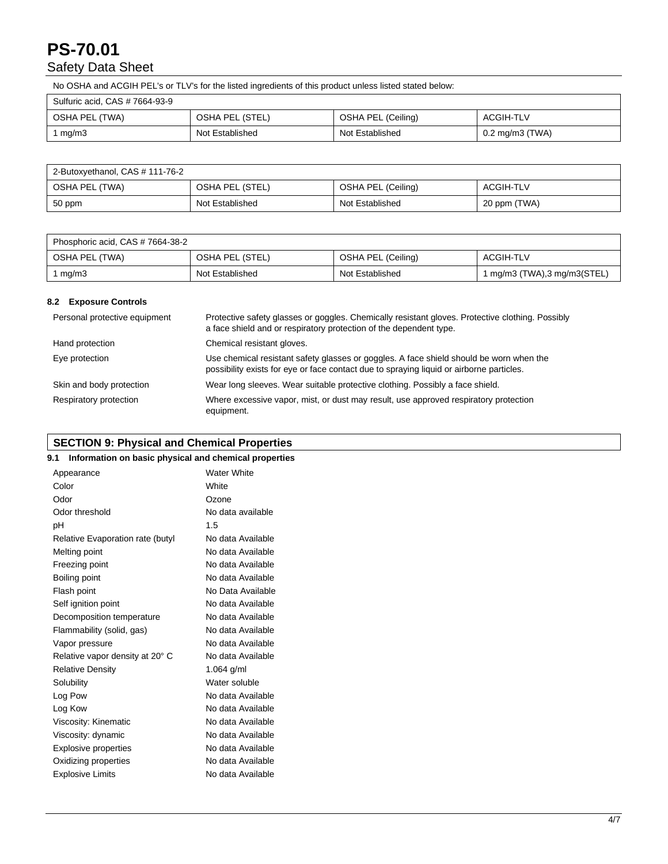# **PS-70.01**  Safety Data Sheet

No OSHA and ACGIH PEL's or TLV's for the listed ingredients of this product unless listed stated below:

| Sulfuric acid, CAS # 7664-93-9 |                 |                    |                      |  |  |  |  |  |
|--------------------------------|-----------------|--------------------|----------------------|--|--|--|--|--|
| OSHA PEL (TWA)                 | OSHA PEL (STEL) | OSHA PEL (Ceiling) | ACGIH-TLV            |  |  |  |  |  |
| mg/m3                          | Not Established | Not Established    | $0.2$ mg/m $3$ (TWA) |  |  |  |  |  |

| 2-Butoxyethanol, CAS # 111-76-2 |                 |                    |              |  |  |  |
|---------------------------------|-----------------|--------------------|--------------|--|--|--|
| OSHA PEL (TWA)                  | OSHA PEL (STEL) | OSHA PEL (Ceiling) | ACGIH-TLV    |  |  |  |
| 50 ppm                          | Not Established | Not Established    | 20 ppm (TWA) |  |  |  |

| Phosphoric acid, CAS # 7664-38-2 |                 |                    |                             |  |  |  |  |
|----------------------------------|-----------------|--------------------|-----------------------------|--|--|--|--|
| OSHA PEL (TWA)                   | OSHA PEL (STEL) | OSHA PEL (Ceiling) | ACGIH-TLV                   |  |  |  |  |
| mg/m3                            | Not Established | Not Established    | 1 mg/m3 (TWA),3 mg/m3(STEL) |  |  |  |  |

### **8.2 Exposure Controls**

| Personal protective equipment | Protective safety glasses or goggles. Chemically resistant gloves. Protective clothing. Possibly<br>a face shield and or respiratory protection of the dependent type.              |
|-------------------------------|-------------------------------------------------------------------------------------------------------------------------------------------------------------------------------------|
| Hand protection               | Chemical resistant gloves.                                                                                                                                                          |
| Eye protection                | Use chemical resistant safety glasses or goggles. A face shield should be worn when the<br>possibility exists for eye or face contact due to spraying liquid or airborne particles. |
| Skin and body protection      | Wear long sleeves. Wear suitable protective clothing. Possibly a face shield.                                                                                                       |
| Respiratory protection        | Where excessive vapor, mist, or dust may result, use approved respiratory protection<br>equipment.                                                                                  |

# **SECTION 9: Physical and Chemical Properties**

|   | <b>PLOTION 3. I Hysical and Onemical Floperites</b> |  |   |  |  |  |  |
|---|-----------------------------------------------------|--|---|--|--|--|--|
| . |                                                     |  | . |  |  |  |  |

| 9.1<br>Information on basic physical and chemical properties |                    |
|--------------------------------------------------------------|--------------------|
| Appearance                                                   | <b>Water White</b> |
| Color                                                        | White              |
| Odor                                                         | Ozone              |
| Odor threshold                                               | No data available  |
| pH                                                           | 1.5                |
| Relative Evaporation rate (butyl                             | No data Available  |
| Melting point                                                | No data Available  |
| Freezing point                                               | No data Available  |
| Boiling point                                                | No data Available  |
| Flash point                                                  | No Data Available  |
| Self ignition point                                          | No data Available  |
| Decomposition temperature                                    | No data Available  |
| Flammability (solid, gas)                                    | No data Available  |
| Vapor pressure                                               | No data Available  |
| Relative vapor density at 20° C                              | No data Available  |
| <b>Relative Density</b>                                      | 1.064 $g/ml$       |
| Solubility                                                   | Water soluble      |
| Log Pow                                                      | No data Available  |
| Log Kow                                                      | No data Available  |
| Viscosity: Kinematic                                         | No data Available  |
| Viscosity: dynamic                                           | No data Available  |
| <b>Explosive properties</b>                                  | No data Available  |
| Oxidizing properties                                         | No data Available  |
| <b>Explosive Limits</b>                                      | No data Available  |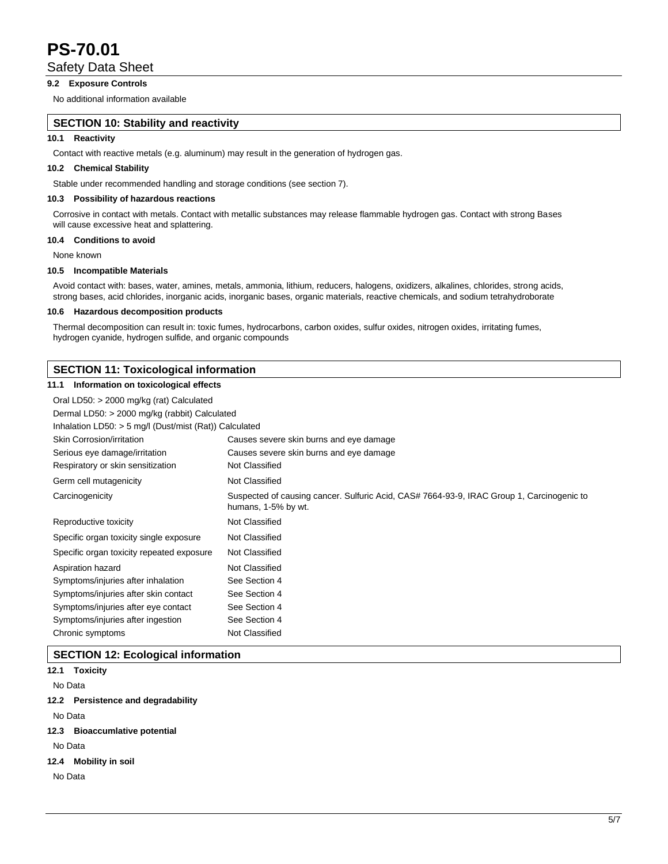Safety Data Sheet

# **9.2 Exposure Controls**

No additional information available

# **SECTION 10: Stability and reactivity**

# **10.1 Reactivity**

Contact with reactive metals (e.g. aluminum) may result in the generation of hydrogen gas.

# **10.2 Chemical Stability**

Stable under recommended handling and storage conditions (see section 7).

### **10.3 Possibility of hazardous reactions**

Corrosive in contact with metals. Contact with metallic substances may release flammable hydrogen gas. Contact with strong Bases will cause excessive heat and splattering.

#### **10.4 Conditions to avoid**

None known

#### **10.5 Incompatible Materials**

Avoid contact with: bases, water, amines, metals, ammonia, lithium, reducers, halogens, oxidizers, alkalines, chlorides, strong acids, strong bases, acid chlorides, inorganic acids, inorganic bases, organic materials, reactive chemicals, and sodium tetrahydroborate

### **10.6 Hazardous decomposition products**

Thermal decomposition can result in: toxic fumes, hydrocarbons, carbon oxides, sulfur oxides, nitrogen oxides, irritating fumes, hydrogen cyanide, hydrogen sulfide, and organic compounds

### **SECTION 11: Toxicological information**

### **11.1 Information on toxicological effects**

| Oral LD50: $>$ 2000 mg/kg (rat) Calculated             |                                                                                                                  |  |  |  |
|--------------------------------------------------------|------------------------------------------------------------------------------------------------------------------|--|--|--|
| Dermal LD50: > 2000 mg/kg (rabbit) Calculated          |                                                                                                                  |  |  |  |
| Inhalation LD50: > 5 mg/l (Dust/mist (Rat)) Calculated |                                                                                                                  |  |  |  |
| Skin Corrosion/irritation                              | Causes severe skin burns and eye damage                                                                          |  |  |  |
| Serious eye damage/irritation                          | Causes severe skin burns and eye damage                                                                          |  |  |  |
| Respiratory or skin sensitization                      | Not Classified                                                                                                   |  |  |  |
| Germ cell mutagenicity                                 | Not Classified                                                                                                   |  |  |  |
| Carcinogenicity                                        | Suspected of causing cancer. Sulfuric Acid, CAS# 7664-93-9, IRAC Group 1, Carcinogenic to<br>humans, 1-5% by wt. |  |  |  |
| Reproductive toxicity                                  | Not Classified                                                                                                   |  |  |  |
| Specific organ toxicity single exposure                | Not Classified                                                                                                   |  |  |  |
| Specific organ toxicity repeated exposure              | Not Classified                                                                                                   |  |  |  |
| Aspiration hazard                                      | Not Classified                                                                                                   |  |  |  |
| Symptoms/injuries after inhalation                     | See Section 4                                                                                                    |  |  |  |
| Symptoms/injuries after skin contact                   | See Section 4                                                                                                    |  |  |  |
| Symptoms/injuries after eye contact                    | See Section 4                                                                                                    |  |  |  |
| Symptoms/injuries after ingestion                      | See Section 4                                                                                                    |  |  |  |
| Chronic symptoms                                       | Not Classified                                                                                                   |  |  |  |

# **SECTION 12: Ecological information**

|         | 12.1 Toxicity                      |
|---------|------------------------------------|
| No Data |                                    |
|         | 12.2 Persistence and degradability |
| No Data |                                    |
|         | 12.3 Bioaccumlative potential      |
| No Data |                                    |
|         | 12.4 Mobility in soil              |
| No Data |                                    |
|         |                                    |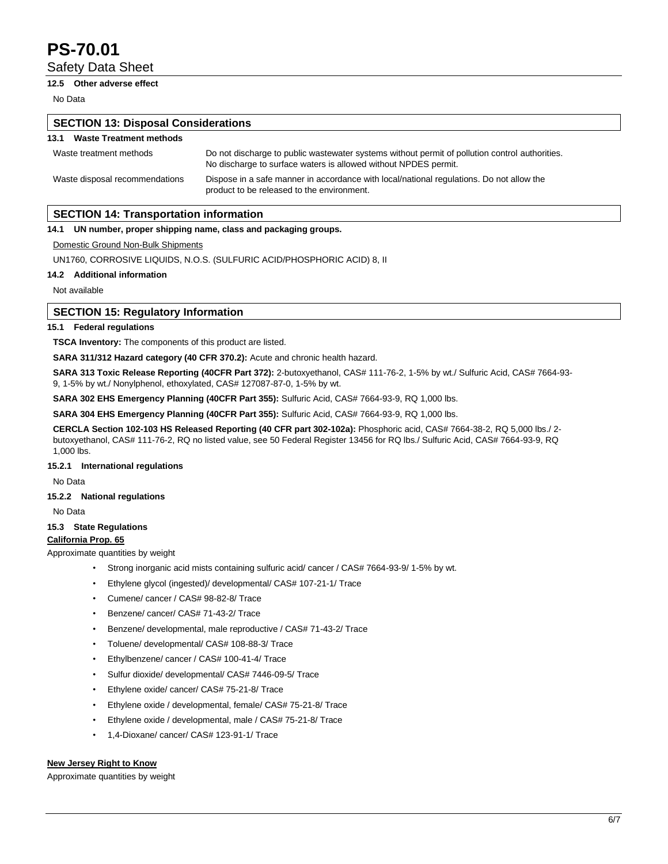Safety Data Sheet

## **12.5 Other adverse effect**

No Data

# **SECTION 13: Disposal Considerations 13.1 Waste Treatment methods** Waste treatment methods Do not discharge to public wastewater systems without permit of pollution control authorities. No discharge to surface waters is allowed without NPDES permit. Waste disposal recommendations Dispose in a safe manner in accordance with local/national regulations. Do not allow the product to be released to the environment. **SECTION 14: Transportation information**

### **14.1 UN number, proper shipping name, class and packaging groups.**

Domestic Ground Non-Bulk Shipments

UN1760, CORROSIVE LIQUIDS, N.O.S. (SULFURIC ACID/PHOSPHORIC ACID) 8, II

### **14.2 Additional information**

Not available

## **SECTION 15: Regulatory Information**

### **15.1 Federal regulations**

**TSCA Inventory:** The components of this product are listed.

**SARA 311/312 Hazard category (40 CFR 370.2):** Acute and chronic health hazard.

**SARA 313 Toxic Release Reporting (40CFR Part 372):** 2-butoxyethanol, CAS# 111-76-2, 1-5% by wt./ Sulfuric Acid, CAS# 7664-93- 9, 1-5% by wt./ Nonylphenol, ethoxylated, CAS# 127087-87-0, 1-5% by wt.

**SARA 302 EHS Emergency Planning (40CFR Part 355):** Sulfuric Acid, CAS# 7664-93-9, RQ 1,000 lbs.

**SARA 304 EHS Emergency Planning (40CFR Part 355):** Sulfuric Acid, CAS# 7664-93-9, RQ 1,000 lbs.

**CERCLA Section 102-103 HS Released Reporting (40 CFR part 302-102a):** Phosphoric acid, CAS# 7664-38-2, RQ 5,000 lbs./ 2 butoxyethanol, CAS# 111-76-2, RQ no listed value, see 50 Federal Register 13456 for RQ lbs./ Sulfuric Acid, CAS# 7664-93-9, RQ 1,000 lbs.

### **15.2.1 International regulations**

No Data

### **15.2.2 National regulations**

No Data

## **15.3 State Regulations**

### **California Prop. 65**

Approximate quantities by weight

- Strong inorganic acid mists containing sulfuric acid/ cancer / CAS# 7664-93-9/ 1-5% by wt.
- Ethylene glycol (ingested)/ developmental/ CAS# 107-21-1/ Trace
- Cumene/ cancer / CAS# 98-82-8/ Trace
- Benzene/ cancer/ CAS# 71-43-2/ Trace
- Benzene/ developmental, male reproductive / CAS# 71-43-2/ Trace
- Toluene/ developmental/ CAS# 108-88-3/ Trace
- Ethylbenzene/ cancer / CAS# 100-41-4/ Trace
- Sulfur dioxide/ developmental/ CAS# 7446-09-5/ Trace
- Ethylene oxide/ cancer/ CAS# 75-21-8/ Trace
- Ethylene oxide / developmental, female/ CAS# 75-21-8/ Trace
- Ethylene oxide / developmental, male / CAS# 75-21-8/ Trace
- 1,4-Dioxane/ cancer/ CAS# 123-91-1/ Trace

### **New Jersey Right to Know**

Approximate quantities by weight